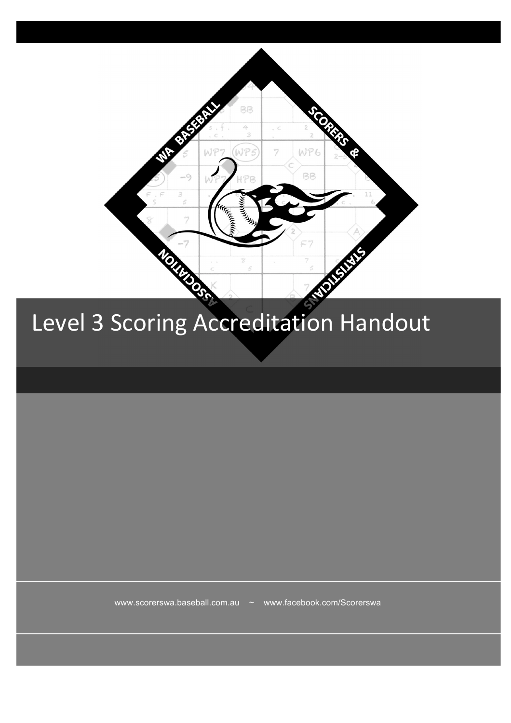

www.scorerswa.baseball.com.au ~ www.facebook.com/Scorerswa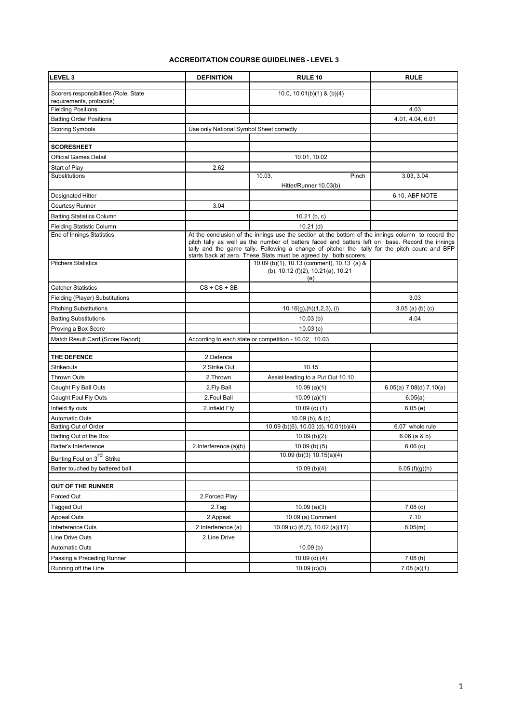## **ACCREDITATION COURSE GUIDELINES - LEVEL 3**

| <b>LEVEL 3</b>                         | <b>DEFINITION</b>                                                                                                                                                                                                                                                                                                                                                          | <b>RULE 10</b>                                                                          | <b>RULE</b>               |
|----------------------------------------|----------------------------------------------------------------------------------------------------------------------------------------------------------------------------------------------------------------------------------------------------------------------------------------------------------------------------------------------------------------------------|-----------------------------------------------------------------------------------------|---------------------------|
| Scorers responsibilities (Role, State  |                                                                                                                                                                                                                                                                                                                                                                            | 10.0, 10.01(b)(1) & (b)(4)                                                              |                           |
| requirements, protocols)               |                                                                                                                                                                                                                                                                                                                                                                            |                                                                                         |                           |
| <b>Fielding Positions</b>              |                                                                                                                                                                                                                                                                                                                                                                            |                                                                                         | 4.03                      |
| <b>Batting Order Positions</b>         |                                                                                                                                                                                                                                                                                                                                                                            |                                                                                         | 4.01, 4.04, 6.01          |
| <b>Scoring Symbols</b>                 | Use only National Symbol Sheet correctly                                                                                                                                                                                                                                                                                                                                   |                                                                                         |                           |
| <b>SCORESHEET</b>                      |                                                                                                                                                                                                                                                                                                                                                                            |                                                                                         |                           |
| <b>Official Games Detail</b>           |                                                                                                                                                                                                                                                                                                                                                                            | 10.01, 10.02                                                                            |                           |
| Start of Play                          | 2.62                                                                                                                                                                                                                                                                                                                                                                       |                                                                                         |                           |
| Substitutions                          |                                                                                                                                                                                                                                                                                                                                                                            | 10.03,<br>Pinch                                                                         | 3.03, 3.04                |
|                                        |                                                                                                                                                                                                                                                                                                                                                                            | Hitter/Runner 10.03(b)                                                                  |                           |
| Designated Hitter                      |                                                                                                                                                                                                                                                                                                                                                                            |                                                                                         | 6.10, ABF NOTE            |
| <b>Courtesy Runner</b>                 | 3.04                                                                                                                                                                                                                                                                                                                                                                       |                                                                                         |                           |
| <b>Batting Statistics Column</b>       |                                                                                                                                                                                                                                                                                                                                                                            | $10.21$ (b, c)                                                                          |                           |
| <b>Fielding Statistic Column</b>       |                                                                                                                                                                                                                                                                                                                                                                            | $10.21$ (d)                                                                             |                           |
| <b>End of Innings Statistics</b>       | At the conclusion of the innings use the section at the bottom of the innings column to record the<br>pitch tally as well as the number of batters faced and batters left on base. Record the innings<br>tally and the game tally. Following a change of pitcher the tally for the pitch count and BFP<br>starts back at zero. These Stats must be agreed by both scorers. |                                                                                         |                           |
| <b>Pitchers Statistics</b>             |                                                                                                                                                                                                                                                                                                                                                                            | 10.09 (b)(1), 10.13 (comment), 10.13 (a) &<br>(b), 10.12 (f)(2), 10.21(a), 10.21<br>(e) |                           |
| <b>Catcher Statistics</b>              | $CS + CS + SB$                                                                                                                                                                                                                                                                                                                                                             |                                                                                         |                           |
| Fielding (Player) Substitutions        |                                                                                                                                                                                                                                                                                                                                                                            |                                                                                         | 3.03                      |
| <b>Pitching Substitutions</b>          |                                                                                                                                                                                                                                                                                                                                                                            | $10.16(g)$ , (h) $(1,2,3)$ , (i)                                                        | $3.05$ (a) (b) (c)        |
| <b>Batting Substitutions</b>           |                                                                                                                                                                                                                                                                                                                                                                            | 10.03(b)                                                                                | 4.04                      |
| Proving a Box Score                    |                                                                                                                                                                                                                                                                                                                                                                            | 10.03(c)                                                                                |                           |
| Match Result Card (Score Report)       |                                                                                                                                                                                                                                                                                                                                                                            | According to each state or competition - 10.02, 10.03                                   |                           |
| THE DEFENCE                            | 2.Defence                                                                                                                                                                                                                                                                                                                                                                  |                                                                                         |                           |
| <b>Strikeouts</b>                      | 2.Strike Out                                                                                                                                                                                                                                                                                                                                                               | 10.15                                                                                   |                           |
| <b>Thrown Outs</b>                     | 2. Thrown                                                                                                                                                                                                                                                                                                                                                                  | Assist leading to a Put Out 10.10                                                       |                           |
| Caught Fly Ball Outs                   | 2.Fly Ball                                                                                                                                                                                                                                                                                                                                                                 | 10.09(a)(1)                                                                             | $6.05(a)$ 7.08(d) 7.10(a) |
| Caught Foul Fly Outs                   | 2. Foul Ball                                                                                                                                                                                                                                                                                                                                                               | 10.09(a)(1)                                                                             | 6.05(a)                   |
| Infield fly outs                       | 2. Infield Fly                                                                                                                                                                                                                                                                                                                                                             | 10.09 $(c)$ $(1)$                                                                       | 6.05(e)                   |
| <b>Automatic Outs</b>                  |                                                                                                                                                                                                                                                                                                                                                                            | $10.09$ (b), & (c)                                                                      |                           |
| <b>Batting Out of Order</b>            |                                                                                                                                                                                                                                                                                                                                                                            | 10.09 (b)(6), 10.03 (d), 10.01(b)(4)                                                    | 6.07 whole rule           |
| Batting Out of the Box                 |                                                                                                                                                                                                                                                                                                                                                                            | 10.09(b)(2)                                                                             | $6.06$ (a & b)            |
| Batter's Interference                  | 2.Interference (a)(b)                                                                                                                                                                                                                                                                                                                                                      | $10.09$ (b) (5)                                                                         | 6.06(c)                   |
| Bunting Foul on 3 <sup>rd</sup> Strike |                                                                                                                                                                                                                                                                                                                                                                            | 10.09 (b)(3) 10.15(a)(4)                                                                |                           |
| Batter touched by battered ball        |                                                                                                                                                                                                                                                                                                                                                                            | 10.09(b)(4)                                                                             | 6.05(f)(g)(h)             |
| <b>OUT OF THE RUNNER</b>               |                                                                                                                                                                                                                                                                                                                                                                            |                                                                                         |                           |
| Forced Out                             | 2. Forced Play                                                                                                                                                                                                                                                                                                                                                             |                                                                                         |                           |
| <b>Tagged Out</b>                      | 2.Tag                                                                                                                                                                                                                                                                                                                                                                      | 10.09(a)(3)                                                                             | 7.08(c)                   |
| Appeal Outs                            | 2.Appeal                                                                                                                                                                                                                                                                                                                                                                   | 10.09 (a) Comment                                                                       | 7.10                      |
| Interference Outs                      | 2.Interference (a)                                                                                                                                                                                                                                                                                                                                                         | 10.09 (c) (6,7), 10.02 (a)(17)                                                          | 6.05(m)                   |
| Line Drive Outs                        | 2.Line Drive                                                                                                                                                                                                                                                                                                                                                               |                                                                                         |                           |
| <b>Automatic Outs</b>                  |                                                                                                                                                                                                                                                                                                                                                                            | 10.09(b)                                                                                |                           |
| Passing a Preceding Runner             |                                                                                                                                                                                                                                                                                                                                                                            | 10.09 $(c)$ $(4)$                                                                       | 7.08(h)                   |
| Running off the Line                   |                                                                                                                                                                                                                                                                                                                                                                            | 10.09(c)(3)                                                                             | 7.08(a)(1)                |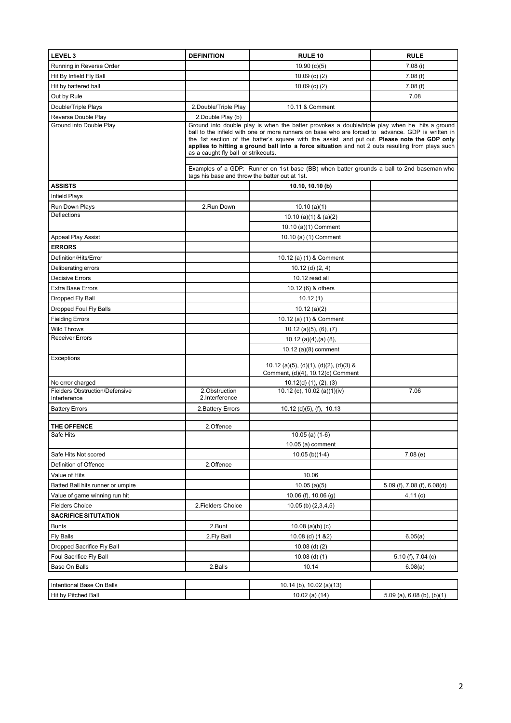| LEVEL <sub>3</sub>                             | <b>DEFINITION</b>                                                                                                                                                                                                                                                                                                                                                                                                                                                                                                                          | <b>RULE 10</b>                                                              | <b>RULE</b>                    |  |
|------------------------------------------------|--------------------------------------------------------------------------------------------------------------------------------------------------------------------------------------------------------------------------------------------------------------------------------------------------------------------------------------------------------------------------------------------------------------------------------------------------------------------------------------------------------------------------------------------|-----------------------------------------------------------------------------|--------------------------------|--|
| Running in Reverse Order                       |                                                                                                                                                                                                                                                                                                                                                                                                                                                                                                                                            | 10.90(c)(5)                                                                 | 7.08(i)                        |  |
| Hit By Infield Fly Ball                        |                                                                                                                                                                                                                                                                                                                                                                                                                                                                                                                                            | 10.09 $(c)$ $(2)$                                                           | 7.08(f)                        |  |
| Hit by battered ball                           |                                                                                                                                                                                                                                                                                                                                                                                                                                                                                                                                            | 10.09 $(c)$ $(2)$                                                           | 7.08(f)                        |  |
| Out by Rule                                    |                                                                                                                                                                                                                                                                                                                                                                                                                                                                                                                                            |                                                                             | 7.08                           |  |
| Double/Triple Plays                            | 2. Double/Triple Play                                                                                                                                                                                                                                                                                                                                                                                                                                                                                                                      | 10.11 & Comment                                                             |                                |  |
| Reverse Double Play                            | 2. Double Play (b)                                                                                                                                                                                                                                                                                                                                                                                                                                                                                                                         |                                                                             |                                |  |
| Ground into Double Play                        | Ground into double play is when the batter provokes a double/triple play when he hits a ground<br>ball to the infield with one or more runners on base who are forced to advance. GDP is written in<br>the 1st section of the batter's square with the assist and put out. Please note the GDP only<br>applies to hitting a ground ball into a force situation and not 2 outs resulting from plays such<br>as a caught fly ball or strikeouts.<br>Examples of a GDP: Runner on 1st base (BB) when batter grounds a ball to 2nd baseman who |                                                                             |                                |  |
|                                                | tags his base and throw the batter out at 1st.                                                                                                                                                                                                                                                                                                                                                                                                                                                                                             |                                                                             |                                |  |
| <b>ASSISTS</b>                                 |                                                                                                                                                                                                                                                                                                                                                                                                                                                                                                                                            | 10.10, 10.10 (b)                                                            |                                |  |
| Infield Plays                                  |                                                                                                                                                                                                                                                                                                                                                                                                                                                                                                                                            |                                                                             |                                |  |
| Run Down Plays                                 | 2.Run Down                                                                                                                                                                                                                                                                                                                                                                                                                                                                                                                                 | 10.10(a)(1)                                                                 |                                |  |
| <b>Deflections</b>                             |                                                                                                                                                                                                                                                                                                                                                                                                                                                                                                                                            | 10.10 (a)(1) & (a)(2)                                                       |                                |  |
|                                                |                                                                                                                                                                                                                                                                                                                                                                                                                                                                                                                                            | 10.10 (a)(1) Comment                                                        |                                |  |
| Appeal Play Assist                             |                                                                                                                                                                                                                                                                                                                                                                                                                                                                                                                                            | 10.10 (a) (1) Comment                                                       |                                |  |
| <b>ERRORS</b>                                  |                                                                                                                                                                                                                                                                                                                                                                                                                                                                                                                                            |                                                                             |                                |  |
| Definition/Hits/Error                          |                                                                                                                                                                                                                                                                                                                                                                                                                                                                                                                                            | 10.12 (a) (1) & Comment                                                     |                                |  |
| Deliberating errors                            |                                                                                                                                                                                                                                                                                                                                                                                                                                                                                                                                            | $10.12$ (d) $(2, 4)$                                                        |                                |  |
| <b>Decisive Errors</b>                         |                                                                                                                                                                                                                                                                                                                                                                                                                                                                                                                                            | 10.12 read all                                                              |                                |  |
| <b>Extra Base Errors</b>                       |                                                                                                                                                                                                                                                                                                                                                                                                                                                                                                                                            | 10.12 (6) & others                                                          |                                |  |
| Dropped Fly Ball                               |                                                                                                                                                                                                                                                                                                                                                                                                                                                                                                                                            | 10.12(1)                                                                    |                                |  |
| Dropped Foul Fly Balls                         |                                                                                                                                                                                                                                                                                                                                                                                                                                                                                                                                            | 10.12(a)(2)                                                                 |                                |  |
| <b>Fielding Errors</b>                         |                                                                                                                                                                                                                                                                                                                                                                                                                                                                                                                                            | 10.12 (a) (1) & Comment                                                     |                                |  |
| <b>Wild Throws</b>                             |                                                                                                                                                                                                                                                                                                                                                                                                                                                                                                                                            | $10.12$ (a)(5), (6), (7)                                                    |                                |  |
| <b>Receiver Errors</b>                         |                                                                                                                                                                                                                                                                                                                                                                                                                                                                                                                                            | $10.12$ (a)(4),(a) (8),<br>$10.12$ (a) $(8)$ comment                        |                                |  |
| Exceptions                                     |                                                                                                                                                                                                                                                                                                                                                                                                                                                                                                                                            | 10.12 (a)(5), (d)(1), (d)(2), (d)(3) &<br>Comment, (d)(4), 10.12(c) Comment |                                |  |
| No error charged                               |                                                                                                                                                                                                                                                                                                                                                                                                                                                                                                                                            | $10.12(d)$ $(1)$ , $(2)$ , $(3)$                                            |                                |  |
| Fielders Obstruction/Defensive<br>Interference | 2.Obstruction<br>2.Interference                                                                                                                                                                                                                                                                                                                                                                                                                                                                                                            | 10.12 (c), 10.02 (a)(1)(iv)                                                 | 7.06                           |  |
| <b>Battery Errors</b>                          | 2. Battery Errors                                                                                                                                                                                                                                                                                                                                                                                                                                                                                                                          | $10.12$ (d)(5), (f), $10.13$                                                |                                |  |
|                                                |                                                                                                                                                                                                                                                                                                                                                                                                                                                                                                                                            |                                                                             |                                |  |
| THE OFFENCE                                    | 2.Offence                                                                                                                                                                                                                                                                                                                                                                                                                                                                                                                                  |                                                                             |                                |  |
| Sate Hits                                      |                                                                                                                                                                                                                                                                                                                                                                                                                                                                                                                                            | $10.05$ (a) (1-6)<br>10.05 (a) comment                                      |                                |  |
| Safe Hits Not scored                           |                                                                                                                                                                                                                                                                                                                                                                                                                                                                                                                                            | $10.05$ (b)(1-4)                                                            | 7.08(e)                        |  |
| Definition of Offence                          | 2.Offence                                                                                                                                                                                                                                                                                                                                                                                                                                                                                                                                  |                                                                             |                                |  |
| Value of Hits                                  |                                                                                                                                                                                                                                                                                                                                                                                                                                                                                                                                            | 10.06                                                                       |                                |  |
| Batted Ball hits runner or umpire              |                                                                                                                                                                                                                                                                                                                                                                                                                                                                                                                                            | 10.05(a)(5)                                                                 | 5.09 (f), 7.08 (f), 6.08(d)    |  |
| Value of game winning run hit                  |                                                                                                                                                                                                                                                                                                                                                                                                                                                                                                                                            | 10.06 (f), 10.06 (g)                                                        | 4.11 (c)                       |  |
| <b>Fielders Choice</b>                         | 2. Fielders Choice                                                                                                                                                                                                                                                                                                                                                                                                                                                                                                                         | $10.05$ (b) $(2,3,4,5)$                                                     |                                |  |
| <b>SACRIFICE SITUTATION</b>                    |                                                                                                                                                                                                                                                                                                                                                                                                                                                                                                                                            |                                                                             |                                |  |
| <b>Bunts</b>                                   | 2.Bunt                                                                                                                                                                                                                                                                                                                                                                                                                                                                                                                                     | $10.08$ (a)(b) (c)                                                          |                                |  |
| Fly Balls                                      | 2. Fly Ball                                                                                                                                                                                                                                                                                                                                                                                                                                                                                                                                | 10.08 (d) (1 & 2)                                                           | 6.05(a)                        |  |
| Dropped Sacrifice Fly Ball                     |                                                                                                                                                                                                                                                                                                                                                                                                                                                                                                                                            | $10.08$ (d) (2)                                                             |                                |  |
| Foul Sacrifice Fly Ball                        |                                                                                                                                                                                                                                                                                                                                                                                                                                                                                                                                            | $10.08$ (d) (1)                                                             | 5.10 (f), 7.04 (c)             |  |
| Base On Balls                                  | 2.Balls                                                                                                                                                                                                                                                                                                                                                                                                                                                                                                                                    | 10.14                                                                       | 6.08(a)                        |  |
| Intentional Base On Balls                      |                                                                                                                                                                                                                                                                                                                                                                                                                                                                                                                                            | 10.14 (b), 10.02 (a)(13)                                                    |                                |  |
| Hit by Pitched Ball                            |                                                                                                                                                                                                                                                                                                                                                                                                                                                                                                                                            | 10.02 (a) $(14)$                                                            | $5.09$ (a), $6.08$ (b), (b)(1) |  |
|                                                |                                                                                                                                                                                                                                                                                                                                                                                                                                                                                                                                            |                                                                             |                                |  |